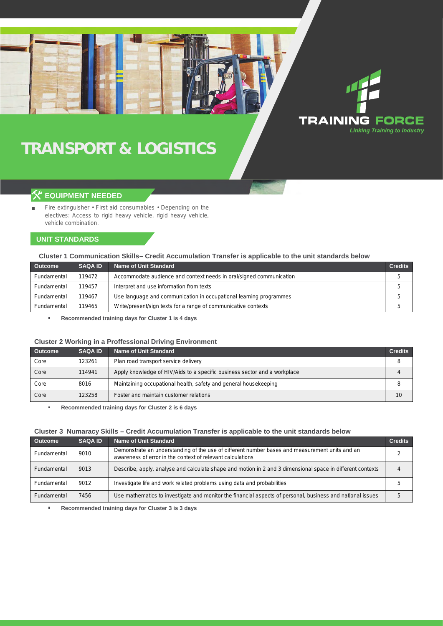# **TRANSPORT & LOGISTICS**

## **EQUIPMENT NEEDED**

Fire extinguisher • First aid consumables • Depending on the electives: Access to rigid heavy vehicle, rigid heavy vehicle, vehicle combination.

### **UNIT STANDARDS**

#### **Cluster 1 Communication Skills– Credit Accumulation Transfer is applicable to the unit standards below**

| <b>Outcome</b> | <b>SAQA ID</b> | Name of Unit Standard                                               | <b>Credits</b> |
|----------------|----------------|---------------------------------------------------------------------|----------------|
| Fundamental    | 119472         | Accommodate audience and context needs in oral/signed communication |                |
| Fundamental    | 119457         | Interpret and use information from texts                            |                |
| Fundamental    | 119467         | Use language and communication in occupational learning programmes  |                |
| Fundamental    | 119465         | Write/present/sign texts for a range of communicative contexts      |                |

**TRAINING FORCE** 

**Linking Training to Industry** 

**Recommended training days for Cluster 1 is 4 days**  $\bar{a}$ 

#### **Cluster 2 Working in a Proffessional Driving Environment**

| <b>Outcome</b> | <b>SAQA ID</b> | Name of Unit Standard                                                     | <b>Credits</b> |
|----------------|----------------|---------------------------------------------------------------------------|----------------|
| Core           | 123261         | Plan road transport service delivery                                      | 8              |
| Core           | 114941         | Apply knowledge of HIV/Aids to a specific business sector and a workplace | 4              |
| Core           | 8016           | Maintaining occupational health, safety and general housekeeping          | 8              |
| Core           | 123258         | Foster and maintain customer relations                                    | 10             |

 $\bar{a}$ **Recommended training days for Cluster 2 is 6 days**

#### **Cluster 3 Numaracy Skills – Credit Accumulation Transfer is applicable to the unit standards below**

| <b>Outcome</b> | <b>SAQA ID</b> | Name of Unit Standard                                                                                                                                        | <b>Credits</b> |
|----------------|----------------|--------------------------------------------------------------------------------------------------------------------------------------------------------------|----------------|
| Fundamental    | 9010           | Demonstrate an understanding of the use of different number bases and measurement units and an<br>awareness of error in the context of relevant calculations |                |
| Fundamental    | 9013           | Describe, apply, analyse and calculate shape and motion in 2 and 3 dimensional space in different contexts                                                   |                |
| Fundamental    | 9012           | Investigate life and work related problems using data and probabilities                                                                                      |                |
| Fundamental    | 7456           | Use mathematics to investigate and monitor the financial aspects of personal, business and national issues                                                   |                |

**Recommended training days for Cluster 3 is 3 days**  $\alpha$